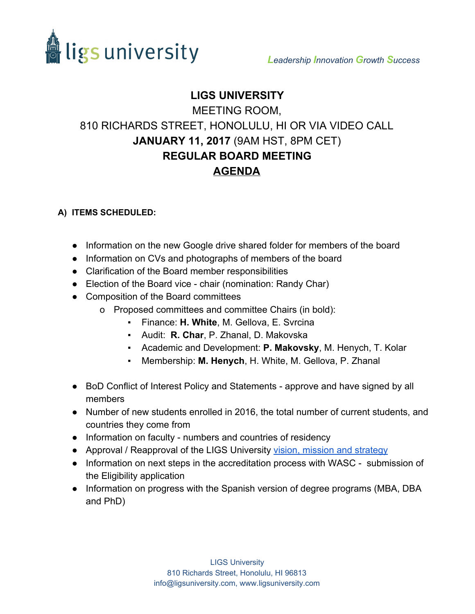

## **LIGS UNIVERSITY**

## MEETING ROOM, 810 RICHARDS STREET, HONOLULU, HI OR VIA VIDEO CALL **JANUARY 11, 2017**(9AM HST, 8PM CET) **REGULAR BOARD MEETING AGENDA**

## **A) ITEMS SCHEDULED:**

- Information on the new Google drive shared folder for members of the board
- Information on CVs and photographs of members of the board
- Clarification of the Board member responsibilities
- Election of the Board vice chair (nomination: Randy Char)
- Composition of the Board committees
	- o Proposed committees and committee Chairs (in bold):
		- Finance: **H. White**, M. Gellova, E. Svrcina
		- Audit: **R. Char**, P. Zhanal, D. Makovska
		- Academic and Development: **P. Makovsky**, M. Henych, T. Kolar
		- Membership: **M. Henych**, H. White, M. Gellova, P. Zhanal
- BoD Conflict of Interest Policy and Statements approve and have signed by all members
- Number of new students enrolled in 2016, the total number of current students, and countries they come from
- Information on faculty numbers and countries of residency
- Approval / Reapproval of the LIGS University [vision, mission and strategy](http://www.ligsuniversity.com/about-ligs/mission-vision-and-strategy/)
- Information on next steps in the accreditation process with WASC submission of the Eligibility application
- Information on progress with the Spanish version of degree programs (MBA, DBA and PhD)